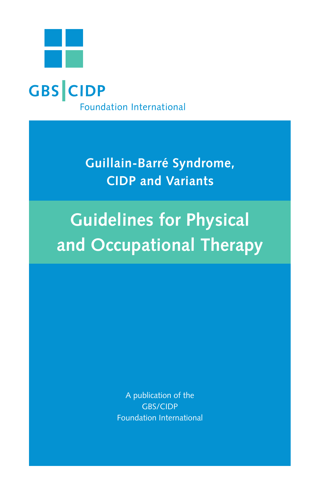

**Guillain-Barré Syndrome, CIDP and Variants**

**Guidelines for Physical and Occupational Therapy**

> A publication of the GBS/CIDP Foundation International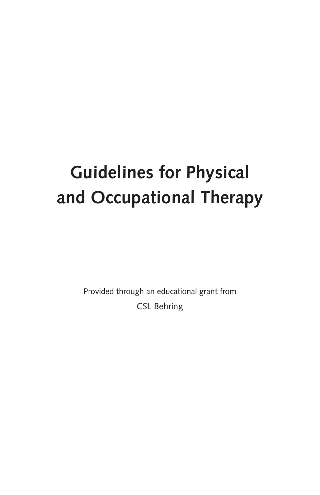# **Guidelines for Physical and Occupational Therapy**

Provided through an educational grant from CSL Behring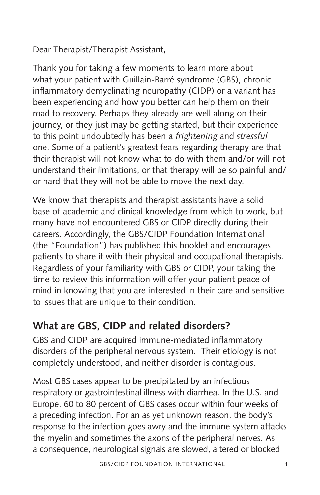Dear Therapist/Therapist Assistant**,** 

Thank you for taking a few moments to learn more about what your patient with Guillain-Barré syndrome (GBS), chronic inflammatory demyelinating neuropathy (CIDP) or a variant has been experiencing and how you better can help them on their road to recovery. Perhaps they already are well along on their journey, or they just may be getting started, but their experience to this point undoubtedly has been a *frightening* and *stressful* one. Some of a patient's greatest fears regarding therapy are that their therapist will not know what to do with them and/or will not understand their limitations, or that therapy will be so painful and/ or hard that they will not be able to move the next day.

We know that therapists and therapist assistants have a solid base of academic and clinical knowledge from which to work, but many have not encountered GBS or CIDP directly during their careers. Accordingly, the GBS/CIDP Foundation International (the "Foundation") has published this booklet and encourages patients to share it with their physical and occupational therapists. Regardless of your familiarity with GBS or CIDP, your taking the time to review this information will offer your patient peace of mind in knowing that you are interested in their care and sensitive to issues that are unique to their condition.

# **What are GBS, CIDP and related disorders?**

GBS and CIDP are acquired immune-mediated inflammatory disorders of the peripheral nervous system. Their etiology is not completely understood, and neither disorder is contagious.

Most GBS cases appear to be precipitated by an infectious respiratory or gastrointestinal illness with diarrhea. In the U.S. and Europe, 60 to 80 percent of GBS cases occur within four weeks of a preceding infection. For an as yet unknown reason, the body's response to the infection goes awry and the immune system attacks the myelin and sometimes the axons of the peripheral nerves. As a consequence, neurological signals are slowed, altered or blocked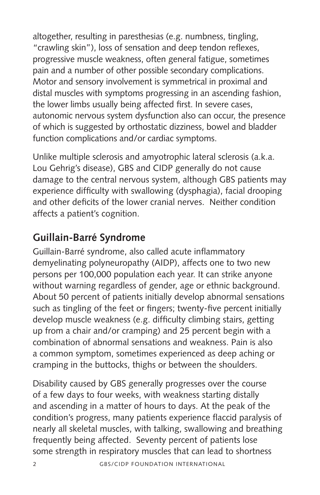altogether, resulting in paresthesias (e.g. numbness, tingling, "crawling skin"), loss of sensation and deep tendon reflexes, progressive muscle weakness, often general fatigue, sometimes pain and a number of other possible secondary complications. Motor and sensory involvement is symmetrical in proximal and distal muscles with symptoms progressing in an ascending fashion, the lower limbs usually being affected first. In severe cases, autonomic nervous system dysfunction also can occur, the presence of which is suggested by orthostatic dizziness, bowel and bladder function complications and/or cardiac symptoms.

Unlike multiple sclerosis and amyotrophic lateral sclerosis (a.k.a. Lou Gehrig's disease), GBS and CIDP generally do not cause damage to the central nervous system, although GBS patients may experience difficulty with swallowing (dysphagia), facial drooping and other deficits of the lower cranial nerves. Neither condition affects a patient's cognition.

# **Guillain-Barré Syndrome**

Guillain-Barré syndrome, also called acute inflammatory demyelinating polyneuropathy (AIDP), affects one to two new persons per 100,000 population each year. It can strike anyone without warning regardless of gender, age or ethnic background. About 50 percent of patients initially develop abnormal sensations such as tingling of the feet or fingers; twenty-five percent initially develop muscle weakness (e.g. difficulty climbing stairs, getting up from a chair and/or cramping) and 25 percent begin with a combination of abnormal sensations and weakness. Pain is also a common symptom, sometimes experienced as deep aching or cramping in the buttocks, thighs or between the shoulders.

Disability caused by GBS generally progresses over the course of a few days to four weeks, with weakness starting distally and ascending in a matter of hours to days. At the peak of the condition's progress, many patients experience flaccid paralysis of nearly all skeletal muscles, with talking, swallowing and breathing frequently being affected. Seventy percent of patients lose some strength in respiratory muscles that can lead to shortness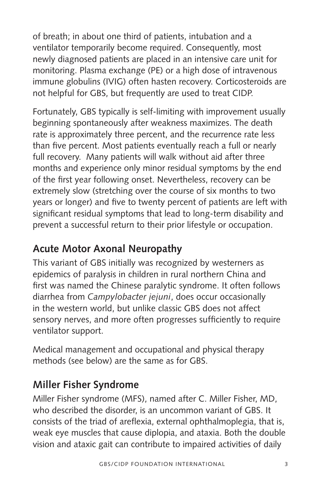of breath; in about one third of patients, intubation and a ventilator temporarily become required. Consequently, most newly diagnosed patients are placed in an intensive care unit for monitoring. Plasma exchange (PE) or a high dose of intravenous immune globulins (IVIG) often hasten recovery. Corticosteroids are not helpful for GBS, but frequently are used to treat CIDP.

Fortunately, GBS typically is self-limiting with improvement usually beginning spontaneously after weakness maximizes. The death rate is approximately three percent, and the recurrence rate less than five percent. Most patients eventually reach a full or nearly full recovery. Many patients will walk without aid after three months and experience only minor residual symptoms by the end of the first year following onset. Nevertheless, recovery can be extremely slow (stretching over the course of six months to two years or longer) and five to twenty percent of patients are left with significant residual symptoms that lead to long-term disability and prevent a successful return to their prior lifestyle or occupation.

### **Acute Motor Axonal Neuropathy**

This variant of GBS initially was recognized by westerners as epidemics of paralysis in children in rural northern China and first was named the Chinese paralytic syndrome. It often follows diarrhea from *Campylobacter jejuni*, does occur occasionally in the western world, but unlike classic GBS does not affect sensory nerves, and more often progresses sufficiently to require ventilator support.

Medical management and occupational and physical therapy methods (see below) are the same as for GBS.

# **Miller Fisher Syndrome**

Miller Fisher syndrome (MFS), named after C. Miller Fisher, MD, who described the disorder, is an uncommon variant of GBS. It consists of the triad of areflexia, external ophthalmoplegia, that is, weak eye muscles that cause diplopia, and ataxia. Both the double vision and ataxic gait can contribute to impaired activities of daily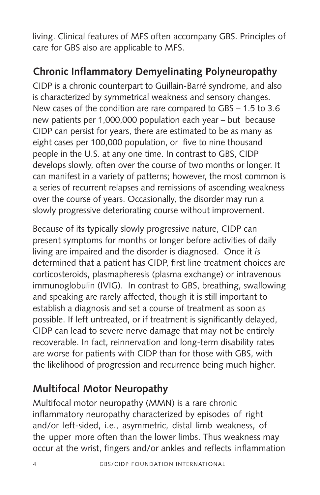living. Clinical features of MFS often accompany GBS. Principles of care for GBS also are applicable to MFS.

### **Chronic Inflammatory Demyelinating Polyneuropathy**

CIDP is a chronic counterpart to Guillain-Barré syndrome, and also is characterized by symmetrical weakness and sensory changes. New cases of the condition are rare compared to GBS – 1.5 to 3.6 new patients per 1,000,000 population each year – but because CIDP can persist for years, there are estimated to be as many as eight cases per 100,000 population, or five to nine thousand people in the U.S. at any one time. In contrast to GBS, CIDP develops slowly, often over the course of two months or longer. It can manifest in a variety of patterns; however, the most common is a series of recurrent relapses and remissions of ascending weakness over the course of years. Occasionally, the disorder may run a slowly progressive deteriorating course without improvement.

Because of its typically slowly progressive nature, CIDP can present symptoms for months or longer before activities of daily living are impaired and the disorder is diagnosed. Once it *is* determined that a patient has CIDP, first line treatment choices are corticosteroids, plasmapheresis (plasma exchange) or intravenous immunoglobulin (IVIG). In contrast to GBS, breathing, swallowing and speaking are rarely affected, though it is still important to establish a diagnosis and set a course of treatment as soon as possible. If left untreated, or if treatment is significantly delayed, CIDP can lead to severe nerve damage that may not be entirely recoverable. In fact, reinnervation and long-term disability rates are worse for patients with CIDP than for those with GBS, with the likelihood of progression and recurrence being much higher.

# **Multifocal Motor Neuropathy**

Multifocal motor neuropathy (MMN) is a rare chronic inflammatory neuropathy characterized by episodes of right and/or left-sided, i.e., asymmetric, distal limb weakness, of the upper more often than the lower limbs. Thus weakness may occur at the wrist, fingers and/or ankles and reflects inflammation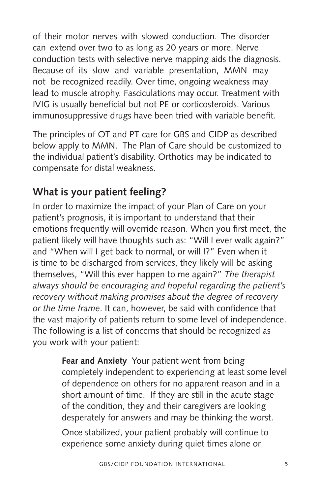of their motor nerves with slowed conduction. The disorder can extend over two to as long as 20 years or more. Nerve conduction tests with selective nerve mapping aids the diagnosis. Because of its slow and variable presentation, MMN may not be recognized readily. Over time, ongoing weakness may lead to muscle atrophy. Fasciculations may occur. Treatment with IVIG is usually beneficial but not PE or corticosteroids. Various immunosuppressive drugs have been tried with variable benefit.

The principles of OT and PT care for GBS and CIDP as described below apply to MMN. The Plan of Care should be customized to the individual patient's disability. Orthotics may be indicated to compensate for distal weakness.

# **What is your patient feeling?**

In order to maximize the impact of your Plan of Care on your patient's prognosis, it is important to understand that their emotions frequently will override reason. When you first meet, the patient likely will have thoughts such as: "Will I ever walk again?" and "When will I get back to normal, or will I?" Even when it is time to be discharged from services, they likely will be asking themselves, "Will this ever happen to me again?" *The therapist always should be encouraging and hopeful regarding the patient's recovery without making promises about the degree of recovery or the time frame*. It can, however, be said with confidence that the vast majority of patients return to some level of independence. The following is a list of concerns that should be recognized as you work with your patient:

> **Fear and Anxiety** Your patient went from being completely independent to experiencing at least some level of dependence on others for no apparent reason and in a short amount of time. If they are still in the acute stage of the condition, they and their caregivers are looking desperately for answers and may be thinking the worst.

Once stabilized, your patient probably will continue to experience some anxiety during quiet times alone or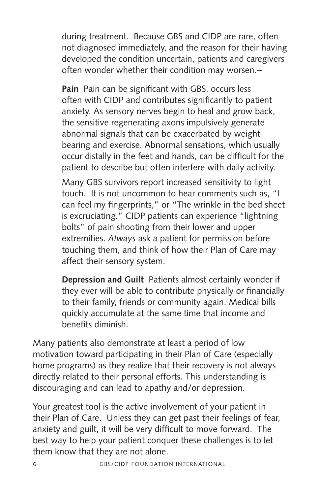during treatment. Because GBS and CIDP are rare, often not diagnosed immediately, and the reason for their having developed the condition uncertain, patients and caregivers often wonder whether their condition may worsen.

**Pain** Pain can be significant with GBS, occurs less often with CIDP and contributes significantly to patient anxiety. As sensory nerves begin to heal and grow back, the sensitive regenerating axons impulsively generate abnormal signals that can be exacerbated by weight bearing and exercise. Abnormal sensations, which usually occur distally in the feet and hands, can be difficult for the patient to describe but often interfere with daily activity.

Many GBS survivors report increased sensitivity to light touch. It is not uncommon to hear comments such as, "I can feel my fingerprints," or "The wrinkle in the bed sheet is excruciating." CIDP patients can experience "lightning bolts" of pain shooting from their lower and upper extremities. *Always* ask a patient for permission before touching them, and think of how their Plan of Care may affect their sensory system.

**Depression and Guilt** Patients almost certainly wonder if they ever will be able to contribute physically or financially to their family, friends or community again. Medical bills quickly accumulate at the same time that income and benefits diminish.

Many patients also demonstrate at least a period of low motivation toward participating in their Plan of Care (especially home programs) as they realize that their recovery is not always directly related to their personal efforts. This understanding is discouraging and can lead to apathy and/or depression.

Your greatest tool is the active involvement of your patient in their Plan of Care. Unless they can get past their feelings of fear, anxiety and guilt, it will be very difficult to move forward. The best way to help your patient conquer these challenges is to let them know that they are not alone.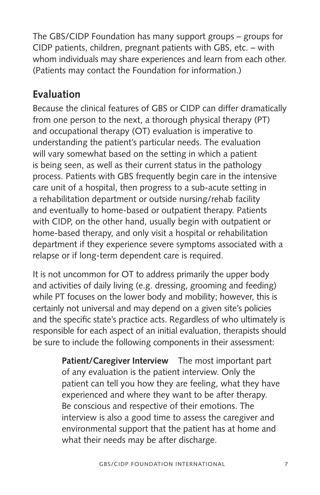The GBS/CIDP Foundation has many support groups – groups for CIDP patients, children, pregnant patients with GBS, etc. – with whom individuals may share experiences and learn from each other. (Patients may contact the Foundation for information.)

### **Evaluation**

Because the clinical features of GBS or CIDP can differ dramatically from one person to the next, a thorough physical therapy (PT) and occupational therapy (OT) evaluation is imperative to understanding the patient's particular needs. The evaluation will vary somewhat based on the setting in which a patient is being seen, as well as their current status in the pathology process. Patients with GBS frequently begin care in the intensive care unit of a hospital, then progress to a sub-acute setting in a rehabilitation department or outside nursing/rehab facility and eventually to home-based or outpatient therapy. Patients with CIDP, on the other hand, usually begin with outpatient or home-based therapy, and only visit a hospital or rehabilitation department if they experience severe symptoms associated with a relapse or if long-term dependent care is required.

It is not uncommon for OT to address primarily the upper body and activities of daily living (e.g. dressing, grooming and feeding) while PT focuses on the lower body and mobility; however, this is certainly not universal and may depend on a given site's policies and the specific state's practice acts. Regardless of who ultimately is responsible for each aspect of an initial evaluation, therapists should be sure to include the following components in their assessment:

> **Patient/Caregiver Interview** The most important part of any evaluation is the patient interview. Only the patient can tell you how they are feeling, what they have experienced and where they want to be after therapy. Be conscious and respective of their emotions. The interview is also a good time to assess the caregiver and environmental support that the patient has at home and what their needs may be after discharge.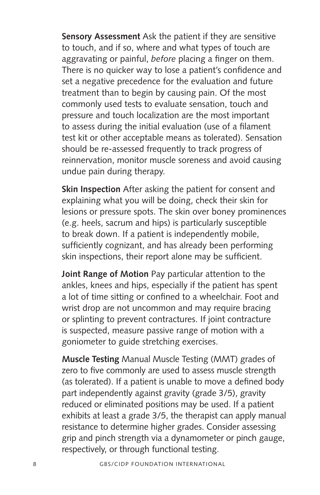**Sensory Assessment** Ask the patient if they are sensitive to touch, and if so, where and what types of touch are aggravating or painful, *before* placing a finger on them. There is no quicker way to lose a patient's confidence and set a negative precedence for the evaluation and future treatment than to begin by causing pain. Of the most commonly used tests to evaluate sensation, touch and pressure and touch localization are the most important to assess during the initial evaluation (use of a filament test kit or other acceptable means as tolerated). Sensation should be re-assessed frequently to track progress of reinnervation, monitor muscle soreness and avoid causing undue pain during therapy.

**Skin Inspection** After asking the patient for consent and explaining what you will be doing, check their skin for lesions or pressure spots. The skin over boney prominences (e.g. heels, sacrum and hips) is particularly susceptible to break down. If a patient is independently mobile, sufficiently cognizant, and has already been performing skin inspections, their report alone may be sufficient.

**Joint Range of Motion** Pay particular attention to the ankles, knees and hips, especially if the patient has spent a lot of time sitting or confined to a wheelchair. Foot and wrist drop are not uncommon and may require bracing or splinting to prevent contractures. If joint contracture is suspected, measure passive range of motion with a goniometer to guide stretching exercises.

**Muscle Testing** Manual Muscle Testing (MMT) grades of zero to five commonly are used to assess muscle strength (as tolerated). If a patient is unable to move a defined body part independently against gravity (grade 3/5), gravity reduced or eliminated positions may be used. If a patient exhibits at least a grade 3/5, the therapist can apply manual resistance to determine higher grades. Consider assessing grip and pinch strength via a dynamometer or pinch gauge, respectively, or through functional testing.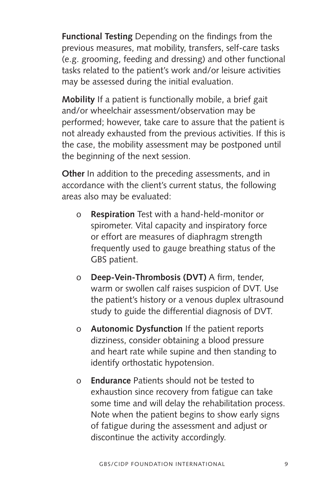**Functional Testing** Depending on the findings from the previous measures, mat mobility, transfers, self-care tasks (e.g. grooming, feeding and dressing) and other functional tasks related to the patient's work and/or leisure activities may be assessed during the initial evaluation.

**Mobility** If a patient is functionally mobile, a brief gait and/or wheelchair assessment/observation may be performed; however, take care to assure that the patient is not already exhausted from the previous activities. If this is the case, the mobility assessment may be postponed until the beginning of the next session.

**Other** In addition to the preceding assessments, and in accordance with the client's current status, the following areas also may be evaluated:

- o **Respiration** Test with a hand-held-monitor or spirometer. Vital capacity and inspiratory force or effort are measures of diaphragm strength frequently used to gauge breathing status of the GBS patient.
- o **Deep-Vein-Thrombosis (DVT)** A firm, tender, warm or swollen calf raises suspicion of DVT. Use the patient's history or a venous duplex ultrasound study to guide the differential diagnosis of DVT.
- o **Autonomic Dysfunction** If the patient reports dizziness, consider obtaining a blood pressure and heart rate while supine and then standing to identify orthostatic hypotension.
- o **Endurance** Patients should not be tested to exhaustion since recovery from fatigue can take some time and will delay the rehabilitation process. Note when the patient begins to show early signs of fatigue during the assessment and adjust or discontinue the activity accordingly.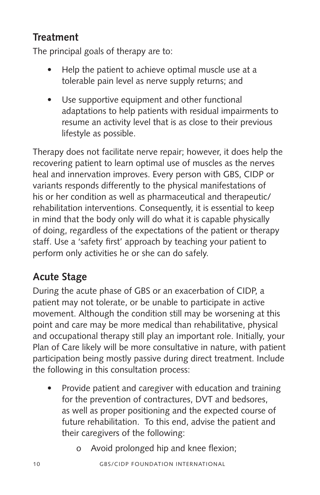#### **Treatment**

The principal goals of therapy are to:

- **•** Help the patient to achieve optimal muscle use at a tolerable pain level as nerve supply returns; and
- **•** Use supportive equipment and other functional adaptations to help patients with residual impairments to resume an activity level that is as close to their previous lifestyle as possible.

Therapy does not facilitate nerve repair; however, it does help the recovering patient to learn optimal use of muscles as the nerves heal and innervation improves. Every person with GBS, CIDP or variants responds differently to the physical manifestations of his or her condition as well as pharmaceutical and therapeutic/ rehabilitation interventions. Consequently, it is essential to keep in mind that the body only will do what it is capable physically of doing, regardless of the expectations of the patient or therapy staff. Use a 'safety first' approach by teaching your patient to perform only activities he or she can do safely.

# **Acute Stage**

During the acute phase of GBS or an exacerbation of CIDP, a patient may not tolerate, or be unable to participate in active movement. Although the condition still may be worsening at this point and care may be more medical than rehabilitative, physical and occupational therapy still play an important role. Initially, your Plan of Care likely will be more consultative in nature, with patient participation being mostly passive during direct treatment. Include the following in this consultation process:

- **•** Provide patient and caregiver with education and training for the prevention of contractures, DVT and bedsores, as well as proper positioning and the expected course of future rehabilitation. To this end, advise the patient and their caregivers of the following:
	- o Avoid prolonged hip and knee flexion;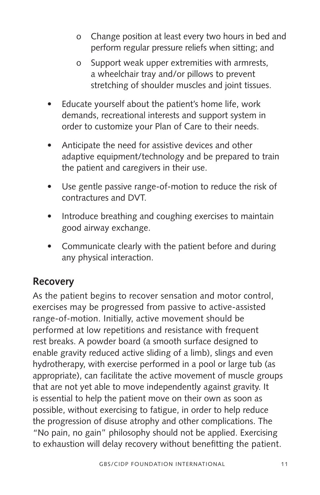- o Change position at least every two hours in bed and perform regular pressure reliefs when sitting; and
- o Support weak upper extremities with armrests, a wheelchair tray and/or pillows to prevent stretching of shoulder muscles and joint tissues.
- **•** Educate yourself about the patient's home life, work demands, recreational interests and support system in order to customize your Plan of Care to their needs.
- **•** Anticipate the need for assistive devices and other adaptive equipment/technology and be prepared to train the patient and caregivers in their use.
- **•** Use gentle passive range-of-motion to reduce the risk of contractures and DVT.
- **•** Introduce breathing and coughing exercises to maintain good airway exchange.
- **•** Communicate clearly with the patient before and during any physical interaction.

#### **Recovery**

As the patient begins to recover sensation and motor control, exercises may be progressed from passive to active-assisted range-of-motion. Initially, active movement should be performed at low repetitions and resistance with frequent rest breaks. A powder board (a smooth surface designed to enable gravity reduced active sliding of a limb), slings and even hydrotherapy, with exercise performed in a pool or large tub (as appropriate), can facilitate the active movement of muscle groups that are not yet able to move independently against gravity. It is essential to help the patient move on their own as soon as possible, without exercising to fatigue, in order to help reduce the progression of disuse atrophy and other complications. The "No pain, no gain" philosophy should not be applied. Exercising to exhaustion will delay recovery without benefitting the patient.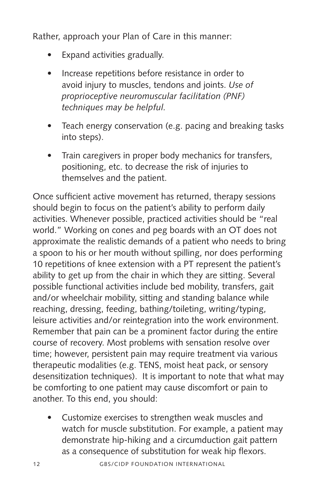Rather, approach your Plan of Care in this manner:

- **•** Expand activities gradually.
- **•** Increase repetitions before resistance in order to avoid injury to muscles, tendons and joints. *Use of proprioceptive neuromuscular facilitation (PNF) techniques may be helpful.*
- **•** Teach energy conservation (e.g. pacing and breaking tasks into steps).
- **•** Train caregivers in proper body mechanics for transfers, positioning, etc. to decrease the risk of injuries to themselves and the patient.

Once sufficient active movement has returned, therapy sessions should begin to focus on the patient's ability to perform daily activities. Whenever possible, practiced activities should be "real world." Working on cones and peg boards with an OT does not approximate the realistic demands of a patient who needs to bring a spoon to his or her mouth without spilling, nor does performing 10 repetitions of knee extension with a PT represent the patient's ability to get up from the chair in which they are sitting. Several possible functional activities include bed mobility, transfers, gait and/or wheelchair mobility, sitting and standing balance while reaching, dressing, feeding, bathing/toileting, writing/typing, leisure activities and/or reintegration into the work environment. Remember that pain can be a prominent factor during the entire course of recovery. Most problems with sensation resolve over time; however, persistent pain may require treatment via various therapeutic modalities (e.g. TENS, moist heat pack, or sensory desensitization techniques). It is important to note that what may be comforting to one patient may cause discomfort or pain to another. To this end, you should:

**•** Customize exercises to strengthen weak muscles and watch for muscle substitution. For example, a patient may demonstrate hip-hiking and a circumduction gait pattern as a consequence of substitution for weak hip flexors.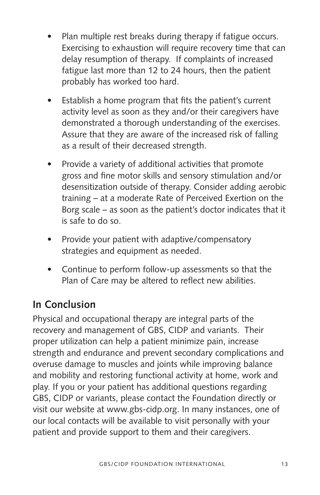- **•** Plan multiple rest breaks during therapy if fatigue occurs. Exercising to exhaustion will require recovery time that can delay resumption of therapy. If complaints of increased fatigue last more than 12 to 24 hours, then the patient probably has worked too hard.
- **•** Establish a home program that fits the patient's current activity level as soon as they and/or their caregivers have demonstrated a thorough understanding of the exercises. Assure that they are aware of the increased risk of falling as a result of their decreased strength.
- **•** Provide a variety of additional activities that promote gross and fine motor skills and sensory stimulation and/or desensitization outside of therapy. Consider adding aerobic training – at a moderate Rate of Perceived Exertion on the Borg scale – as soon as the patient's doctor indicates that it is safe to do so.
- **•** Provide your patient with adaptive/compensatory strategies and equipment as needed.
- **•** Continue to perform follow-up assessments so that the Plan of Care may be altered to reflect new abilities.

### **In Conclusion**

Physical and occupational therapy are integral parts of the recovery and management of GBS, CIDP and variants. Their proper utilization can help a patient minimize pain, increase strength and endurance and prevent secondary complications and overuse damage to muscles and joints while improving balance and mobility and restoring functional activity at home, work and play. If you or your patient has additional questions regarding GBS, CIDP or variants, please contact the Foundation directly or visit our website at www.gbs-cidp.org. In many instances, one of our local contacts will be available to visit personally with your patient and provide support to them and their caregivers.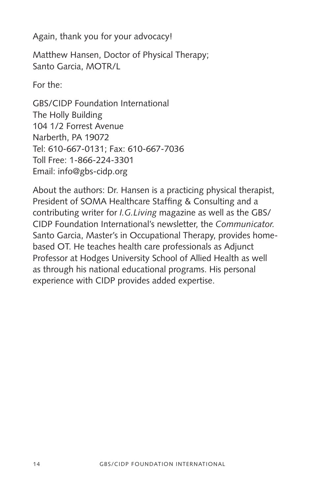Again, thank you for your advocacy!

Matthew Hansen, Doctor of Physical Therapy; Santo Garcia, MOTR/L

For the:

GBS/CIDP Foundation International The Holly Building 104 1/2 Forrest Avenue Narberth, PA 19072 Tel: 610-667-0131; Fax: 610-667-7036 Toll Free: 1-866-224-3301 Email: info@gbs-cidp.org

About the authors: Dr. Hansen is a practicing physical therapist, President of SOMA Healthcare Staffing & Consulting and a contributing writer for *I.G.Living* magazine as well as the GBS/ CIDP Foundation International's newsletter, the *Communicator.*  Santo Garcia, Master's in Occupational Therapy, provides homebased OT. He teaches health care professionals as Adjunct Professor at Hodges University School of Allied Health as well as through his national educational programs. His personal experience with CIDP provides added expertise.